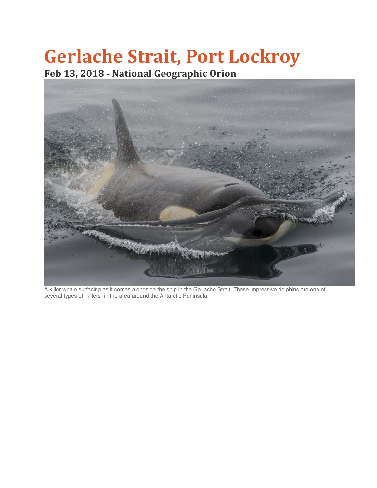## Gerlache Strait, Port Lockroy Feb 13, 2018 - National Geographic Orion



A killer whale surfacing as it comes alongside the ship in the Gerlache Strait. These impressive dolphins are one of several types of "killers" in the area around the Antarctic Peninsula.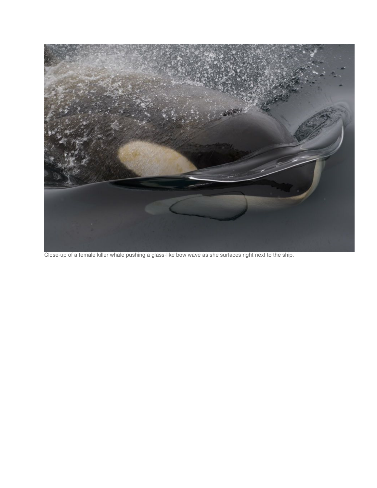

Close-up of a female killer whale pushing a glass-like bow wave as she surfaces right next to the ship.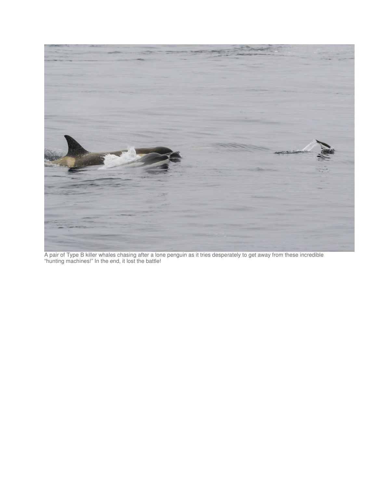

A pair of Type B killer whales chasing after a lone penguin as it tries desperately to get away from these incredible "hunting machines!" In the end, it lost the battle!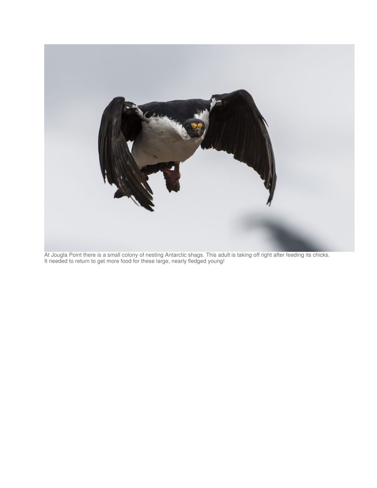

At Jougla Point there is a small colony of nesting Antarctic shags. This adult is taking off right after feeding its chicks. It needed to return to get more food for these large, nearly fledged young!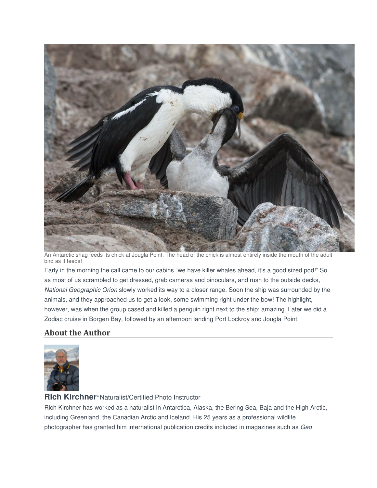

An Antarctic shag feeds its chick at Jougla Point. The head of the chick is almost entirely inside the mouth of the adult bird as it feeds!

Early in the morning the call came to our cabins "we have killer whales ahead, it's a good sized pod!" So as most of us scrambled to get dressed, grab cameras and binoculars, and rush to the outside decks, National Geographic Orion slowly worked its way to a closer range. Soon the ship was surrounded by the animals, and they approached us to get a look, some swimming right under the bow! The highlight, however, was when the group cased and killed a penguin right next to the ship; amazing. Later we did a Zodiac cruise in Borgen Bay, followed by an afternoon landing Port Lockroy and Jougla Point.

## About the Author



## **Rich Kirchner**·Naturalist/Certified Photo Instructor

Rich Kirchner has worked as a naturalist in Antarctica, Alaska, the Bering Sea, Baja and the High Arctic, including Greenland, the Canadian Arctic and Iceland. His 25 years as a professional wildlife photographer has granted him international publication credits included in magazines such as Geo